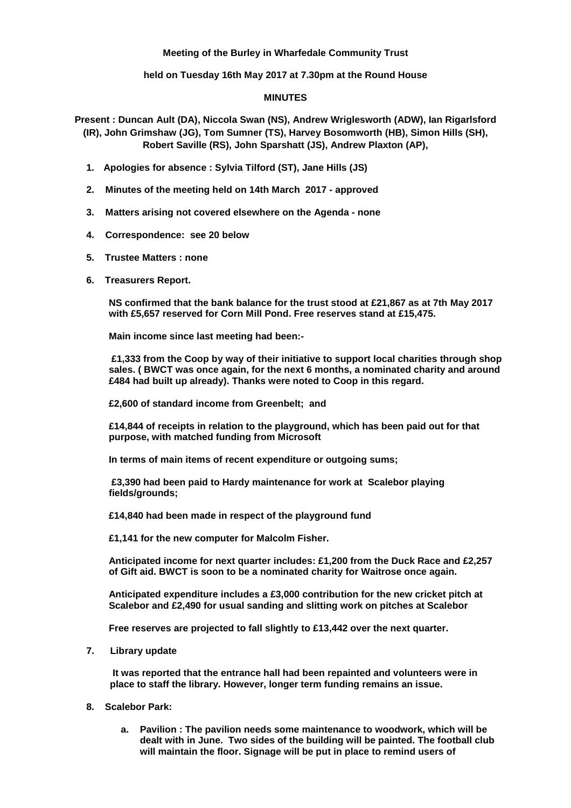## **Meeting of the Burley in Wharfedale Community Trust**

**held on Tuesday 16th May 2017 at 7.30pm at the Round House**

## **MINUTES**

**Present : Duncan Ault (DA), Niccola Swan (NS), Andrew Wriglesworth (ADW), Ian Rigarlsford (IR), John Grimshaw (JG), Tom Sumner (TS), Harvey Bosomworth (HB), Simon Hills (SH), Robert Saville (RS), John Sparshatt (JS), Andrew Plaxton (AP),**

- **1. Apologies for absence : Sylvia Tilford (ST), Jane Hills (JS)**
- **2. Minutes of the meeting held on 14th March 2017 - approved**
- **3. Matters arising not covered elsewhere on the Agenda - none**
- **4. Correspondence: see 20 below**
- **5. Trustee Matters : none**
- **6. Treasurers Report.**

**NS confirmed that the bank balance for the trust stood at £21,867 as at 7th May 2017 with £5,657 reserved for Corn Mill Pond. Free reserves stand at £15,475.**

**Main income since last meeting had been:-**

**£1,333 from the Coop by way of their initiative to support local charities through shop sales. ( BWCT was once again, for the next 6 months, a nominated charity and around £484 had built up already). Thanks were noted to Coop in this regard.**

**£2,600 of standard income from Greenbelt; and**

**£14,844 of receipts in relation to the playground, which has been paid out for that purpose, with matched funding from Microsoft**

**In terms of main items of recent expenditure or outgoing sums;**

**£3,390 had been paid to Hardy maintenance for work at Scalebor playing fields/grounds;**

**£14,840 had been made in respect of the playground fund**

**£1,141 for the new computer for Malcolm Fisher.**

**Anticipated income for next quarter includes: £1,200 from the Duck Race and £2,257 of Gift aid. BWCT is soon to be a nominated charity for Waitrose once again.**

**Anticipated expenditure includes a £3,000 contribution for the new cricket pitch at Scalebor and £2,490 for usual sanding and slitting work on pitches at Scalebor**

**Free reserves are projected to fall slightly to £13,442 over the next quarter.**

**7. Library update**

**It was reported that the entrance hall had been repainted and volunteers were in place to staff the library. However, longer term funding remains an issue.**

- **8. Scalebor Park:**
	- **a. Pavilion : The pavilion needs some maintenance to woodwork, which will be dealt with in June. Two sides of the building will be painted. The football club will maintain the floor. Signage will be put in place to remind users of**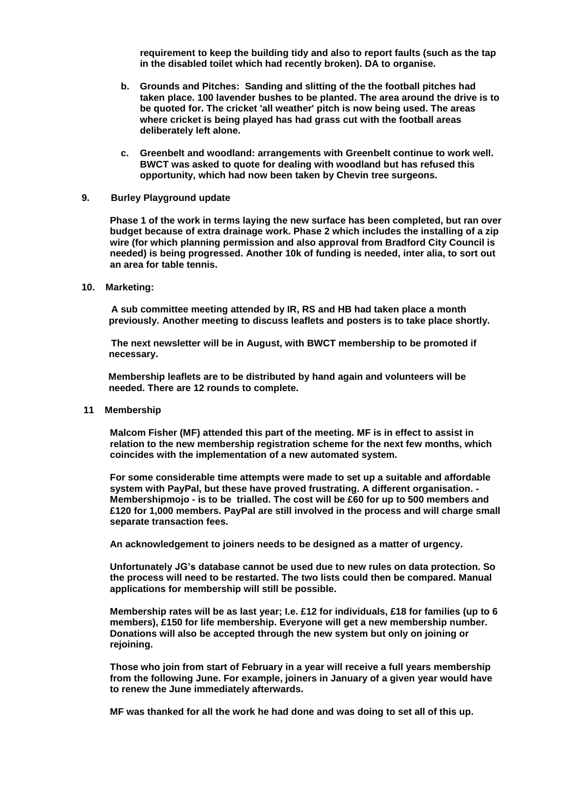**requirement to keep the building tidy and also to report faults (such as the tap in the disabled toilet which had recently broken). DA to organise.**

- **b. Grounds and Pitches: Sanding and slitting of the the football pitches had taken place. 100 lavender bushes to be planted. The area around the drive is to be quoted for. The cricket 'all weather' pitch is now being used. The areas where cricket is being played has had grass cut with the football areas deliberately left alone.**
- **c. Greenbelt and woodland: arrangements with Greenbelt continue to work well. BWCT was asked to quote for dealing with woodland but has refused this opportunity, which had now been taken by Chevin tree surgeons.**
- **9. Burley Playground update**

**Phase 1 of the work in terms laying the new surface has been completed, but ran over budget because of extra drainage work. Phase 2 which includes the installing of a zip wire (for which planning permission and also approval from Bradford City Council is needed) is being progressed. Another 10k of funding is needed, inter alia, to sort out an area for table tennis.**

**10. Marketing:**

 **A sub committee meeting attended by IR, RS and HB had taken place a month previously. Another meeting to discuss leaflets and posters is to take place shortly.**

 **The next newsletter will be in August, with BWCT membership to be promoted if necessary.**

 **Membership leaflets are to be distributed by hand again and volunteers will be needed. There are 12 rounds to complete.**

**11 Membership**

**Malcom Fisher (MF) attended this part of the meeting. MF is in effect to assist in relation to the new membership registration scheme for the next few months, which coincides with the implementation of a new automated system.**

**For some considerable time attempts were made to set up a suitable and affordable system with PayPal, but these have proved frustrating. A different organisation. - Membershipmojo - is to be trialled. The cost will be £60 for up to 500 members and £120 for 1,000 members. PayPal are still involved in the process and will charge small separate transaction fees.**

**An acknowledgement to joiners needs to be designed as a matter of urgency.**

**Unfortunately JG's database cannot be used due to new rules on data protection. So the process will need to be restarted. The two lists could then be compared. Manual applications for membership will still be possible.**

**Membership rates will be as last year; I.e. £12 for individuals, £18 for families (up to 6 members), £150 for life membership. Everyone will get a new membership number. Donations will also be accepted through the new system but only on joining or rejoining.**

**Those who join from start of February in a year will receive a full years membership from the following June. For example, joiners in January of a given year would have to renew the June immediately afterwards.**

**MF was thanked for all the work he had done and was doing to set all of this up.**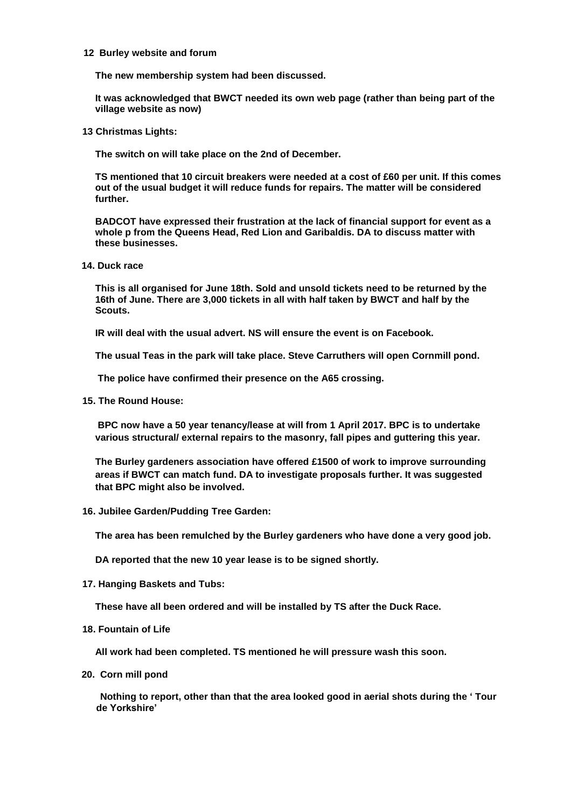## **12 Burley website and forum**

**The new membership system had been discussed.**

**It was acknowledged that BWCT needed its own web page (rather than being part of the village website as now)**

 **13 Christmas Lights:** 

**The switch on will take place on the 2nd of December.**

**TS mentioned that 10 circuit breakers were needed at a cost of £60 per unit. If this comes out of the usual budget it will reduce funds for repairs. The matter will be considered further.**

**BADCOT have expressed their frustration at the lack of financial support for event as a whole p from the Queens Head, Red Lion and Garibaldis. DA to discuss matter with these businesses.**

**14. Duck race**

**This is all organised for June 18th. Sold and unsold tickets need to be returned by the 16th of June. There are 3,000 tickets in all with half taken by BWCT and half by the Scouts.**

**IR will deal with the usual advert. NS will ensure the event is on Facebook.**

**The usual Teas in the park will take place. Steve Carruthers will open Cornmill pond.**

**The police have confirmed their presence on the A65 crossing.**

 **15. The Round House:**

**BPC now have a 50 year tenancy/lease at will from 1 April 2017. BPC is to undertake various structural/ external repairs to the masonry, fall pipes and guttering this year.**

**The Burley gardeners association have offered £1500 of work to improve surrounding areas if BWCT can match fund. DA to investigate proposals further. It was suggested that BPC might also be involved.**

 **16. Jubilee Garden/Pudding Tree Garden:** 

**The area has been remulched by the Burley gardeners who have done a very good job.**

**DA reported that the new 10 year lease is to be signed shortly.**

 **17. Hanging Baskets and Tubs:**

**These have all been ordered and will be installed by TS after the Duck Race.**

 **18. Fountain of Life**

**All work had been completed. TS mentioned he will pressure wash this soon.**

**20. Corn mill pond**

 **Nothing to report, other than that the area looked good in aerial shots during the ' Tour de Yorkshire'**